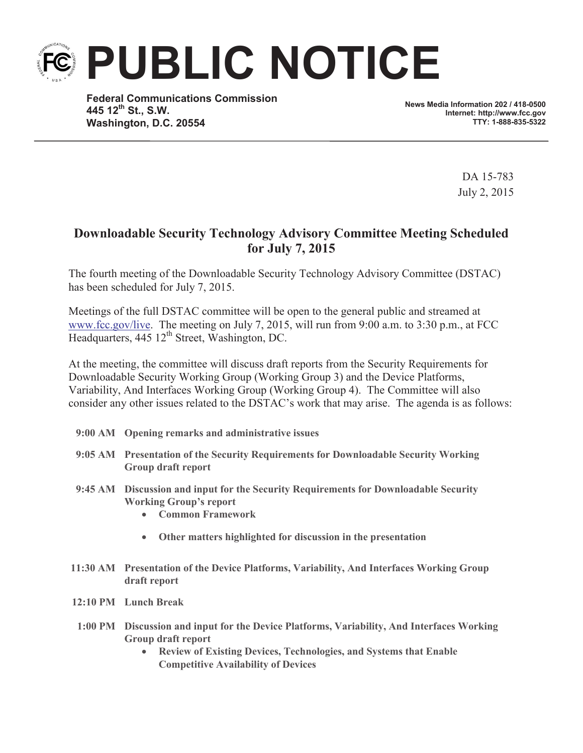**PUBLIC NOTICE**

**Federal Communications Commission 445 12th St., S.W. Washington, D.C. 20554**

**News Media Information 202 / 418-0500 Internet: http://www.fcc.gov TTY: 1-888-835-5322**

> DA 15-783 July 2, 2015

## **Downloadable Security Technology Advisory Committee Meeting Scheduled for July 7, 2015**

The fourth meeting of the Downloadable Security Technology Advisory Committee (DSTAC) has been scheduled for July 7, 2015.

Meetings of the full DSTAC committee will be open to the general public and streamed at www.fcc.gov/live. The meeting on July 7, 2015, will run from 9:00 a.m. to 3:30 p.m., at FCC Headquarters,  $445 \frac{12^{th}}{3}$  Street, Washington, DC.

At the meeting, the committee will discuss draft reports from the Security Requirements for Downloadable Security Working Group (Working Group 3) and the Device Platforms, Variability, And Interfaces Working Group (Working Group 4). The Committee will also consider any other issues related to the DSTAC's work that may arise. The agenda is as follows:

- **9:00 AM Opening remarks and administrative issues**
- **9:05 AM Presentation of the Security Requirements for Downloadable Security Working Group draft report**
- **9:45 AM Discussion and input for the Security Requirements for Downloadable Security Working Group's report**
	- · **Common Framework**
	- · **Other matters highlighted for discussion in the presentation**
- **11:30 AM Presentation of the Device Platforms, Variability, And Interfaces Working Group draft report**
- **12:10 PM Lunch Break**
- **1:00 PM Discussion and input for the Device Platforms, Variability, And Interfaces Working Group draft report**
	- · **Review of Existing Devices, Technologies, and Systems that Enable Competitive Availability of Devices**